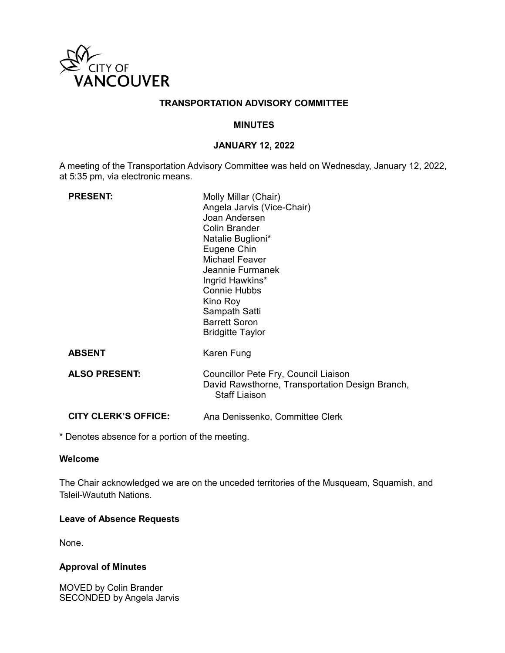

# **TRANSPORTATION ADVISORY COMMITTEE**

## **MINUTES**

# **JANUARY 12, 2022**

A meeting of the Transportation Advisory Committee was held on Wednesday, January 12, 2022, at 5:35 pm, via electronic means.

| <b>PRESENT:</b>             | Molly Millar (Chair)<br>Angela Jarvis (Vice-Chair)<br>Joan Andersen<br>Colin Brander<br>Natalie Buglioni*<br>Eugene Chin<br><b>Michael Feaver</b><br>Jeannie Furmanek<br>Ingrid Hawkins*<br><b>Connie Hubbs</b><br>Kino Roy<br>Sampath Satti<br><b>Barrett Soron</b><br><b>Bridgitte Taylor</b> |
|-----------------------------|-------------------------------------------------------------------------------------------------------------------------------------------------------------------------------------------------------------------------------------------------------------------------------------------------|
| <b>ABSENT</b>               | Karen Fung                                                                                                                                                                                                                                                                                      |
| <b>ALSO PRESENT:</b>        | Councillor Pete Fry, Council Liaison<br>David Rawsthorne, Transportation Design Branch,<br><b>Staff Liaison</b>                                                                                                                                                                                 |
| <b>CITY CLERK'S OFFICE:</b> | Ana Denissenko, Committee Clerk                                                                                                                                                                                                                                                                 |

\* Denotes absence for a portion of the meeting.

# **Welcome**

The Chair acknowledged we are on the unceded territories of the Musqueam, Squamish, and Tsleil-Waututh Nations.

# **Leave of Absence Requests**

None.

## **Approval of Minutes**

MOVED by Colin Brander SECONDED by Angela Jarvis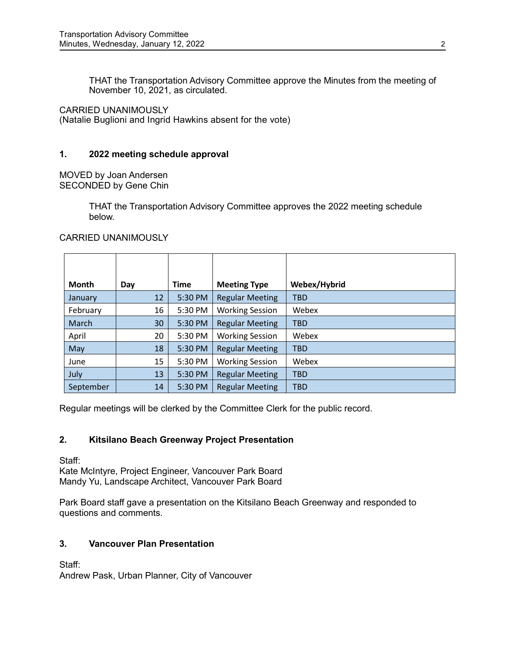THAT the Transportation Advisory Committee approve the Minutes from the meeting of November 10, 2021, as circulated.

CARRIED UNANIMOUSLY

(Natalie Buglioni and Ingrid Hawkins absent for the vote)

# **1. 2022 meeting schedule approval**

MOVED by Joan Andersen SECONDED by Gene Chin

> THAT the Transportation Advisory Committee approves the 2022 meeting schedule below.

# **Month Day Time Meeting Type Webex/Hybrid** January | 12 | 5:30 PM | Regular Meeting | TBD February | 16 | 5:30 PM | Working Session | Webex March  $\vert$  30 | 5:30 PM | Regular Meeting | TBD April 1990 20 5:30 PM | Working Session | Webex May  $\vert$  18 | 5:30 PM | Regular Meeting | TBD June 15 | 5:30 PM | Working Session | Webex July  $13 \mid 5:30 \text{ PM}$  Regular Meeting TBD September | 14 | 5:30 PM | Regular Meeting | TBD

CARRIED UNANIMOUSLY

Regular meetings will be clerked by the Committee Clerk for the public record.

# **2. Kitsilano Beach Greenway Project Presentation**

Staff: Kate McIntyre, Project Engineer, Vancouver Park Board Mandy Yu, Landscape Architect, Vancouver Park Board

Park Board staff gave a presentation on the Kitsilano Beach Greenway and responded to questions and comments.

# **3. Vancouver Plan Presentation**

Staff:

Andrew Pask, Urban Planner, City of Vancouver